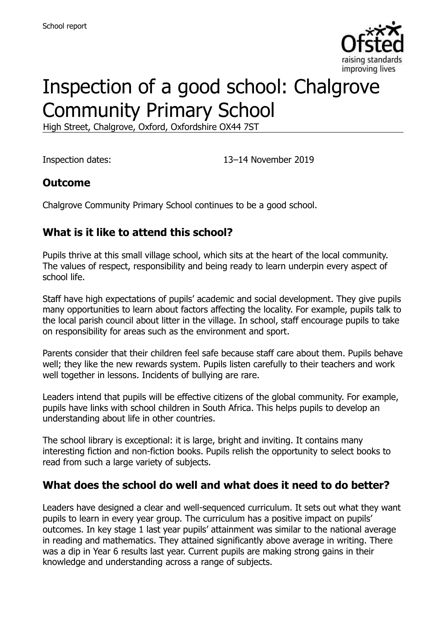

# Inspection of a good school: Chalgrove Community Primary School

High Street, Chalgrove, Oxford, Oxfordshire OX44 7ST

Inspection dates: 13–14 November 2019

## **Outcome**

Chalgrove Community Primary School continues to be a good school.

# **What is it like to attend this school?**

Pupils thrive at this small village school, which sits at the heart of the local community. The values of respect, responsibility and being ready to learn underpin every aspect of school life.

Staff have high expectations of pupils' academic and social development. They give pupils many opportunities to learn about factors affecting the locality. For example, pupils talk to the local parish council about litter in the village. In school, staff encourage pupils to take on responsibility for areas such as the environment and sport.

Parents consider that their children feel safe because staff care about them. Pupils behave well; they like the new rewards system. Pupils listen carefully to their teachers and work well together in lessons. Incidents of bullying are rare.

Leaders intend that pupils will be effective citizens of the global community. For example, pupils have links with school children in South Africa. This helps pupils to develop an understanding about life in other countries.

The school library is exceptional: it is large, bright and inviting. It contains many interesting fiction and non-fiction books. Pupils relish the opportunity to select books to read from such a large variety of subjects.

#### **What does the school do well and what does it need to do better?**

Leaders have designed a clear and well-sequenced curriculum. It sets out what they want pupils to learn in every year group. The curriculum has a positive impact on pupils' outcomes. In key stage 1 last year pupils' attainment was similar to the national average in reading and mathematics. They attained significantly above average in writing. There was a dip in Year 6 results last year. Current pupils are making strong gains in their knowledge and understanding across a range of subjects.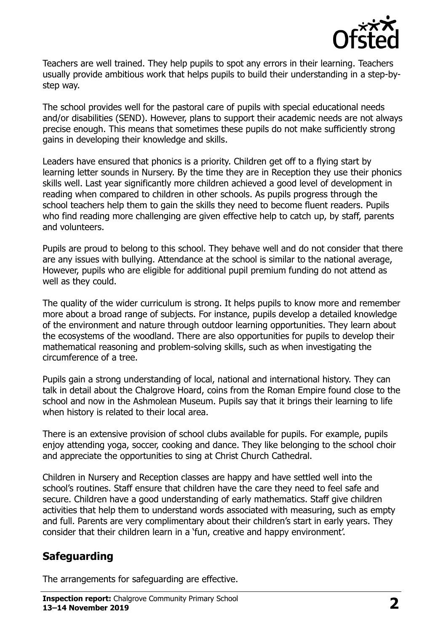

Teachers are well trained. They help pupils to spot any errors in their learning. Teachers usually provide ambitious work that helps pupils to build their understanding in a step-bystep way.

The school provides well for the pastoral care of pupils with special educational needs and/or disabilities (SEND). However, plans to support their academic needs are not always precise enough. This means that sometimes these pupils do not make sufficiently strong gains in developing their knowledge and skills.

Leaders have ensured that phonics is a priority. Children get off to a flying start by learning letter sounds in Nursery. By the time they are in Reception they use their phonics skills well. Last year significantly more children achieved a good level of development in reading when compared to children in other schools. As pupils progress through the school teachers help them to gain the skills they need to become fluent readers. Pupils who find reading more challenging are given effective help to catch up, by staff, parents and volunteers.

Pupils are proud to belong to this school. They behave well and do not consider that there are any issues with bullying. Attendance at the school is similar to the national average, However, pupils who are eligible for additional pupil premium funding do not attend as well as they could.

The quality of the wider curriculum is strong. It helps pupils to know more and remember more about a broad range of subjects. For instance, pupils develop a detailed knowledge of the environment and nature through outdoor learning opportunities. They learn about the ecosystems of the woodland. There are also opportunities for pupils to develop their mathematical reasoning and problem-solving skills, such as when investigating the circumference of a tree.

Pupils gain a strong understanding of local, national and international history. They can talk in detail about the Chalgrove Hoard, coins from the Roman Empire found close to the school and now in the Ashmolean Museum. Pupils say that it brings their learning to life when history is related to their local area.

There is an extensive provision of school clubs available for pupils. For example, pupils enjoy attending yoga, soccer, cooking and dance. They like belonging to the school choir and appreciate the opportunities to sing at Christ Church Cathedral.

Children in Nursery and Reception classes are happy and have settled well into the school's routines. Staff ensure that children have the care they need to feel safe and secure. Children have a good understanding of early mathematics. Staff give children activities that help them to understand words associated with measuring, such as empty and full. Parents are very complimentary about their children's start in early years. They consider that their children learn in a 'fun, creative and happy environment'.

#### **Safeguarding**

The arrangements for safeguarding are effective.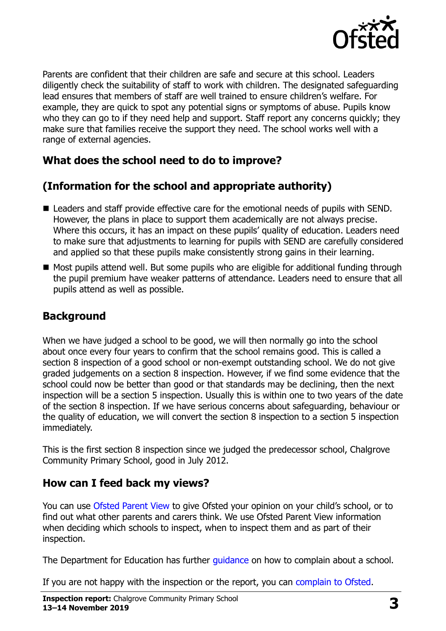

Parents are confident that their children are safe and secure at this school. Leaders diligently check the suitability of staff to work with children. The designated safeguarding lead ensures that members of staff are well trained to ensure children's welfare. For example, they are quick to spot any potential signs or symptoms of abuse. Pupils know who they can go to if they need help and support. Staff report any concerns quickly; they make sure that families receive the support they need. The school works well with a range of external agencies.

## **What does the school need to do to improve?**

## **(Information for the school and appropriate authority)**

- Leaders and staff provide effective care for the emotional needs of pupils with SEND. However, the plans in place to support them academically are not always precise. Where this occurs, it has an impact on these pupils' quality of education. Leaders need to make sure that adjustments to learning for pupils with SEND are carefully considered and applied so that these pupils make consistently strong gains in their learning.
- Most pupils attend well. But some pupils who are eligible for additional funding through the pupil premium have weaker patterns of attendance. Leaders need to ensure that all pupils attend as well as possible.

# **Background**

When we have judged a school to be good, we will then normally go into the school about once every four years to confirm that the school remains good. This is called a section 8 inspection of a good school or non-exempt outstanding school. We do not give graded judgements on a section 8 inspection. However, if we find some evidence that the school could now be better than good or that standards may be declining, then the next inspection will be a section 5 inspection. Usually this is within one to two years of the date of the section 8 inspection. If we have serious concerns about safeguarding, behaviour or the quality of education, we will convert the section 8 inspection to a section 5 inspection immediately.

This is the first section 8 inspection since we judged the predecessor school, Chalgrove Community Primary School, good in July 2012.

#### **How can I feed back my views?**

You can use [Ofsted Parent View](https://parentview.ofsted.gov.uk/) to give Ofsted your opinion on your child's school, or to find out what other parents and carers think. We use Ofsted Parent View information when deciding which schools to inspect, when to inspect them and as part of their inspection.

The Department for Education has further [guidance](http://www.gov.uk/complain-about-school) on how to complain about a school.

If you are not happy with the inspection or the report, you can [complain to Ofsted.](https://www.gov.uk/complain-ofsted-report)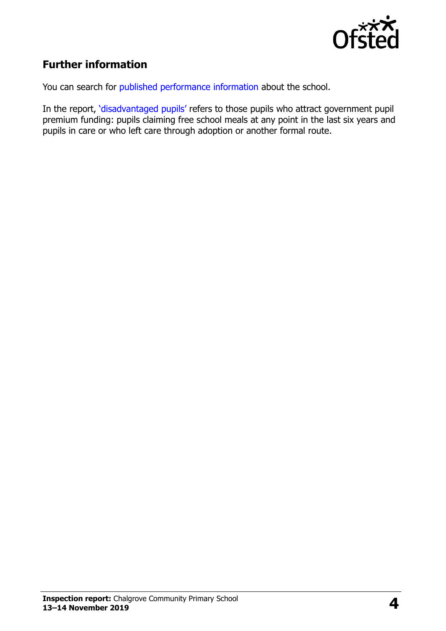

# **Further information**

You can search for [published performance information](http://www.compare-school-performance.service.gov.uk/) about the school.

In the report, '[disadvantaged pupils](http://www.gov.uk/guidance/pupil-premium-information-for-schools-and-alternative-provision-settings)' refers to those pupils who attract government pupil premium funding: pupils claiming free school meals at any point in the last six years and pupils in care or who left care through adoption or another formal route.

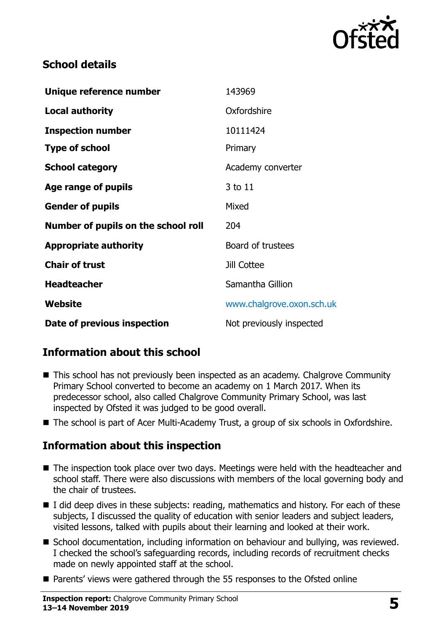

## **School details**

| Unique reference number             | 143969                    |
|-------------------------------------|---------------------------|
| <b>Local authority</b>              | Oxfordshire               |
| <b>Inspection number</b>            | 10111424                  |
| <b>Type of school</b>               | Primary                   |
| <b>School category</b>              | Academy converter         |
| Age range of pupils                 | 3 to 11                   |
| <b>Gender of pupils</b>             | Mixed                     |
| Number of pupils on the school roll | 204                       |
| <b>Appropriate authority</b>        | Board of trustees         |
| <b>Chair of trust</b>               | Jill Cottee               |
| <b>Headteacher</b>                  | Samantha Gillion          |
| Website                             | www.chalgrove.oxon.sch.uk |
| Date of previous inspection         | Not previously inspected  |

# **Information about this school**

- This school has not previously been inspected as an academy. Chalgrove Community Primary School converted to become an academy on 1 March 2017. When its predecessor school, also called Chalgrove Community Primary School, was last inspected by Ofsted it was judged to be good overall.
- The school is part of Acer Multi-Academy Trust, a group of six schools in Oxfordshire.

#### **Information about this inspection**

- The inspection took place over two days. Meetings were held with the headteacher and school staff. There were also discussions with members of the local governing body and the chair of trustees.
- I did deep dives in these subjects: reading, mathematics and history. For each of these subjects, I discussed the quality of education with senior leaders and subject leaders, visited lessons, talked with pupils about their learning and looked at their work.
- School documentation, including information on behaviour and bullying, was reviewed. I checked the school's safeguarding records, including records of recruitment checks made on newly appointed staff at the school.
- Parents' views were gathered through the 55 responses to the Ofsted online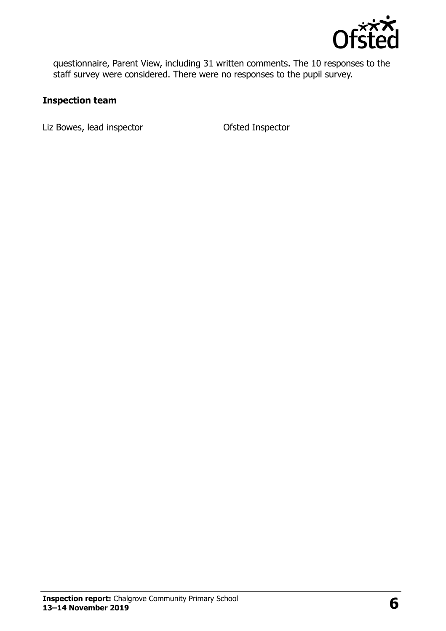

questionnaire, Parent View, including 31 written comments. The 10 responses to the staff survey were considered. There were no responses to the pupil survey.

#### **Inspection team**

Liz Bowes, lead inspector and offsted Inspector